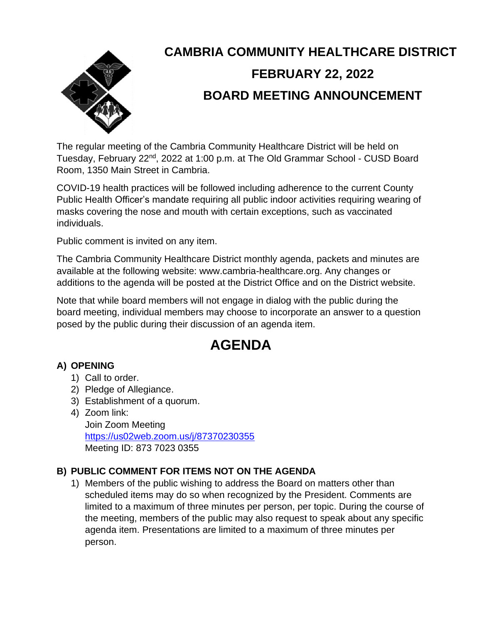

# **CAMBRIA COMMUNITY HEALTHCARE DISTRICT FEBRUARY 22, 2022 BOARD MEETING ANNOUNCEMENT**

The regular meeting of the Cambria Community Healthcare District will be held on Tuesday, February 22<sup>nd</sup>, 2022 at 1:00 p.m. at The Old Grammar School - CUSD Board Room, 1350 Main Street in Cambria.

COVID-19 health practices will be followed including adherence to the current County Public Health Officer's mandate requiring all public indoor activities requiring wearing of masks covering the nose and mouth with certain exceptions, such as vaccinated individuals.

Public comment is invited on any item.

The Cambria Community Healthcare District monthly agenda, packets and minutes are available at the following website: www.cambria-healthcare.org. Any changes or additions to the agenda will be posted at the District Office and on the District website.

Note that while board members will not engage in dialog with the public during the board meeting, individual members may choose to incorporate an answer to a question posed by the public during their discussion of an agenda item.

# **AGENDA**

## **A) OPENING**

- 1) Call to order.
- 2) Pledge of Allegiance.
- 3) Establishment of a quorum.
- 4) Zoom link:

Join Zoom Meeting <https://us02web.zoom.us/j/87370230355> Meeting ID: 873 7023 0355

## **B) PUBLIC COMMENT FOR ITEMS NOT ON THE AGENDA**

1) Members of the public wishing to address the Board on matters other than scheduled items may do so when recognized by the President. Comments are limited to a maximum of three minutes per person, per topic. During the course of the meeting, members of the public may also request to speak about any specific agenda item. Presentations are limited to a maximum of three minutes per person.